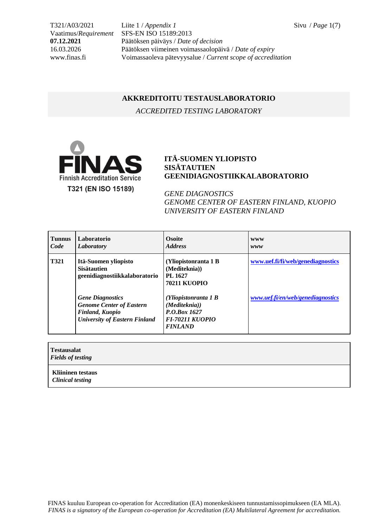T321/A03/2021 Liite 1 / *Appendix 1* Sivu / *Page* 1(7) Vaatimus/*Requirement* SFS-EN ISO 15189:2013 **07.12.2021** Päätöksen päiväys / *Date of decision* 16.03.2026 Päätöksen viimeinen voimassaolopäivä / *Date of expiry* www.finas.fi Voimassaoleva pätevyysalue / *Current scope of accreditation*

## **AKKREDITOITU TESTAUSLABORATORIO**

*ACCREDITED TESTING LABORATORY*



## **ITÄ-SUOMEN YLIOPISTO SISÄTAUTIEN GEENIDIAGNOSTIIKKALABORATORIO**

*GENE DIAGNOSTICS GENOME CENTER OF EASTERN FINLAND, KUOPIO UNIVERSITY OF EASTERN FINLAND*

| <b>Tunnus</b><br>Code | Laboratorio<br><b>Laboratory</b>                                                                                             | <b>Osoite</b><br><b>Address</b>                                                                   | <b>WWW</b><br>www                 |
|-----------------------|------------------------------------------------------------------------------------------------------------------------------|---------------------------------------------------------------------------------------------------|-----------------------------------|
| <b>T321</b>           | Itä-Suomen yliopisto<br><b>Sisätautien</b><br>geenidiagnostiikkalaboratorio                                                  | (Yliopistonranta 1 B<br>(Mediteknia))<br>PL 1627<br><b>70211 KUOPIO</b>                           | www.uef.fi/fi/web/genediagnostics |
|                       | <b>Gene Diagnostics</b><br><b>Genome Center of Eastern</b><br><b>Finland, Kuopio</b><br><b>University of Eastern Finland</b> | (Yliopistonranta 1 B<br>(Mediteknia))<br>P.O.Box 1627<br><b>FI-70211 KUOPIO</b><br><b>FINLAND</b> | www.uef.fi/en/web/genediagnostics |
|                       |                                                                                                                              |                                                                                                   |                                   |

| <b>Testausalat</b><br><b>Fields of testing</b> |  |  |
|------------------------------------------------|--|--|
| Kliininen testaus<br><b>Clinical testing</b>   |  |  |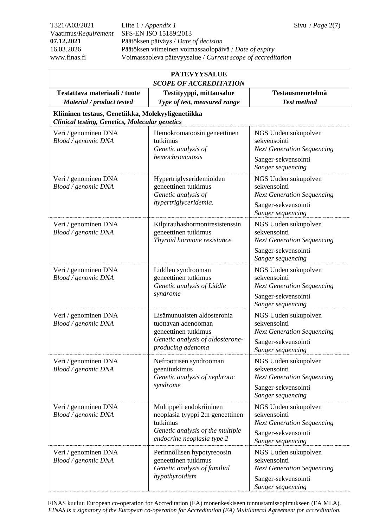T321/A03/2021 Liite 1 / *Appendix 1* Sivu / *Page* 2(7) Vaatimus/*Requirement* SFS-EN ISO 15189:2013 **07.12.2021** Päätöksen päiväys / *Date of decision* 16.03.2026 Päätöksen viimeinen voimassaolopäivä / *Date of expiry* www.finas.fi Voimassaoleva pätevyysalue / *Current scope of accreditation*

| <b>PÄTEVYYSALUE</b><br><b>SCOPE OF ACCREDITATION</b>                                                        |                                                                                                                                            |                                                                                                                       |  |
|-------------------------------------------------------------------------------------------------------------|--------------------------------------------------------------------------------------------------------------------------------------------|-----------------------------------------------------------------------------------------------------------------------|--|
| Testattava materiaali / tuote<br>Material / product tested                                                  | Testityyppi, mittausalue<br>Type of test, measured range                                                                                   | Testausmenetelmä<br><b>Test method</b>                                                                                |  |
| Kliininen testaus, Genetiikka, Molekyyligenetiikka<br><b>Clinical testing, Genetics, Molecular genetics</b> |                                                                                                                                            |                                                                                                                       |  |
| Veri / genominen DNA<br>Blood / genomic DNA                                                                 | Hemokromatoosin geneettinen<br>tutkimus<br>Genetic analysis of<br>hemochromatosis                                                          | NGS Uuden sukupolven<br>sekvensointi<br><b>Next Generation Sequencing</b><br>Sanger-sekvensointi<br>Sanger sequencing |  |
| Veri / genominen DNA<br>Blood / genomic DNA                                                                 | Hypertriglyseridemioiden<br>geneettinen tutkimus<br>Genetic analysis of<br>hypertriglyceridemia.                                           | NGS Uuden sukupolven<br>sekvensointi<br><b>Next Generation Sequencing</b><br>Sanger-sekvensointi<br>Sanger sequencing |  |
| Veri / genominen DNA<br>Blood / genomic DNA                                                                 | Kilpirauhashormoniresistenssin<br>geneettinen tutkimus<br>Thyroid hormone resistance                                                       | NGS Uuden sukupolven<br>sekvensointi<br><b>Next Generation Sequencing</b><br>Sanger-sekvensointi<br>Sanger sequencing |  |
| Veri / genominen DNA<br>Blood / genomic DNA                                                                 | Liddlen syndrooman<br>geneettinen tutkimus<br>Genetic analysis of Liddle<br>syndrome                                                       | NGS Uuden sukupolven<br>sekvensointi<br><b>Next Generation Sequencing</b><br>Sanger-sekvensointi<br>Sanger sequencing |  |
| Veri / genominen DNA<br>Blood / genomic DNA                                                                 | Lisämunuaisten aldosteronia<br>tuottavan adenooman<br>geneettinen tutkimus<br>Genetic analysis of aldosterone-<br>producing adenoma        | NGS Uuden sukupolven<br>sekvensointi<br><b>Next Generation Sequencing</b><br>Sanger-sekvensointi<br>Sanger sequencing |  |
| Veri / genominen DNA<br>Blood / genomic DNA                                                                 | Nefroottisen syndrooman<br>geenitutkimus<br>Genetic analysis of nephrotic<br>syndrome                                                      | NGS Uuden sukupolven<br>sekvensointi<br><b>Next Generation Sequencing</b><br>Sanger-sekvensointi<br>Sanger sequencing |  |
| Veri / genominen DNA<br>Blood / genomic DNA                                                                 | Multippeli endokriininen<br>neoplasia tyyppi 2:n geneettinen<br>tutkimus<br>Genetic analysis of the multiple<br>endocrine neoplasia type 2 | NGS Uuden sukupolven<br>sekvensointi<br><b>Next Generation Sequencing</b><br>Sanger-sekvensointi<br>Sanger sequencing |  |
| Veri / genominen DNA<br>Blood / genomic DNA                                                                 | Perinnöllisen hypotyreoosin<br>geneettinen tutkimus<br>Genetic analysis of familial<br>hypothyroidism                                      | NGS Uuden sukupolven<br>sekvensointi<br><b>Next Generation Sequencing</b><br>Sanger-sekvensointi<br>Sanger sequencing |  |

FINAS kuuluu European co-operation for Accreditation (EA) monenkeskiseen tunnustamissopimukseen (EA MLA). *FINAS is a signatory of the European co-operation for Accreditation (EA) Multilateral Agreement for accreditation.*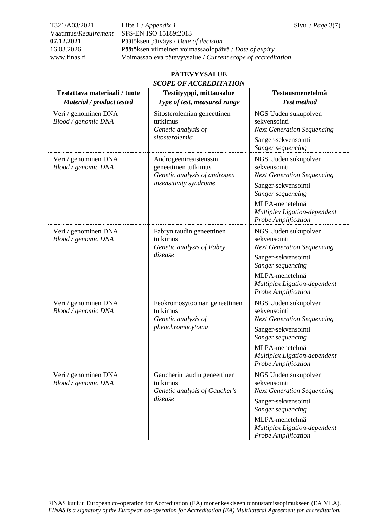T321/A03/2021 Liite 1 / *Appendix 1* Sivu / *Page* 3(7) Vaatimus/*Requirement* SFS-EN ISO 15189:2013 **07.12.2021** Päätöksen päiväys / *Date of decision* 16.03.2026 Päätöksen viimeinen voimassaolopäivä / *Date of expiry* www.finas.fi Voimassaoleva pätevyysalue / *Current scope of accreditation*

| <b>PÄTEVYYSALUE</b><br><b>SCOPE OF ACCREDITATION</b>       |                                                                                                          |                                                                                                                                                                                                |  |
|------------------------------------------------------------|----------------------------------------------------------------------------------------------------------|------------------------------------------------------------------------------------------------------------------------------------------------------------------------------------------------|--|
| Testattava materiaali / tuote<br>Material / product tested | Testityyppi, mittausalue<br>Type of test, measured range                                                 | Testausmenetelmä<br><b>Test method</b>                                                                                                                                                         |  |
| Veri / genominen DNA<br>Blood / genomic DNA                | Sitosterolemian geneettinen<br>tutkimus<br>Genetic analysis of<br>sitosterolemia                         | NGS Uuden sukupolven<br>sekvensointi<br><b>Next Generation Sequencing</b><br>Sanger-sekvensointi<br>Sanger sequencing                                                                          |  |
| Veri / genominen DNA<br>Blood / genomic DNA                | Androgeeniresistenssin<br>geneettinen tutkimus<br>Genetic analysis of androgen<br>insensitivity syndrome | NGS Uuden sukupolven<br>sekvensointi<br><b>Next Generation Sequencing</b><br>Sanger-sekvensointi<br>Sanger sequencing<br>MLPA-menetelmä<br>Multiplex Ligation-dependent<br>Probe Amplification |  |
| Veri / genominen DNA<br>Blood / genomic DNA                | Fabryn taudin geneettinen<br>tutkimus<br>Genetic analysis of Fabry<br>disease                            | NGS Uuden sukupolven<br>sekvensointi<br><b>Next Generation Sequencing</b><br>Sanger-sekvensointi<br>Sanger sequencing<br>MLPA-menetelmä<br>Multiplex Ligation-dependent<br>Probe Amplification |  |
| Veri / genominen DNA<br>Blood / genomic DNA                | Feokromosytooman geneettinen<br>tutkimus<br>Genetic analysis of<br>pheochromocytoma                      | NGS Uuden sukupolven<br>sekvensointi<br><b>Next Generation Sequencing</b><br>Sanger-sekvensointi<br>Sanger sequencing<br>MLPA-menetelmä<br>Multiplex Ligation-dependent<br>Probe Amplification |  |
| Veri / genominen DNA<br>Blood / genomic DNA                | Gaucherin taudin geneettinen<br>tutkimus<br>Genetic analysis of Gaucher's<br>disease                     | NGS Uuden sukupolven<br>sekvensointi<br><b>Next Generation Sequencing</b><br>Sanger-sekvensointi<br>Sanger sequencing<br>MLPA-menetelmä<br>Multiplex Ligation-dependent<br>Probe Amplification |  |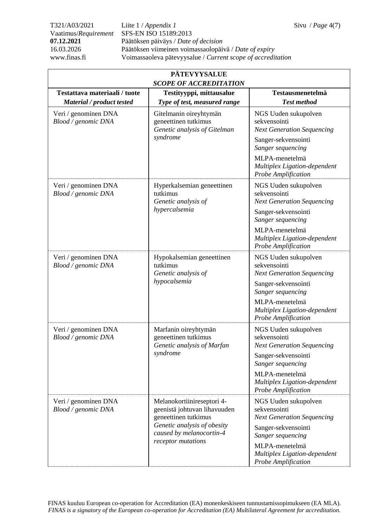T321/A03/2021 Liite 1 / *Appendix 1* Sivu / *Page* 4(7) Vaatimus/*Requirement* SFS-EN ISO 15189:2013 **07.12.2021** Päätöksen päiväys / *Date of decision* 16.03.2026 Päätöksen viimeinen voimassaolopäivä / *Date of expiry* www.finas.fi Voimassaoleva pätevyysalue / *Current scope of accreditation*

| <b>PÄTEVYYSALUE</b><br><b>SCOPE OF ACCREDITATION</b>                     |                                                                                                                                                                     |                                                                                                                                                                                                |  |
|--------------------------------------------------------------------------|---------------------------------------------------------------------------------------------------------------------------------------------------------------------|------------------------------------------------------------------------------------------------------------------------------------------------------------------------------------------------|--|
| Testattava materiaali / tuote                                            | Testityyppi, mittausalue                                                                                                                                            | <b>Testausmenetelmä</b><br><b>Test method</b>                                                                                                                                                  |  |
| Material / product tested<br>Veri / genominen DNA<br>Blood / genomic DNA | Type of test, measured range<br>Gitelmanin oireyhtymän<br>geneettinen tutkimus<br>Genetic analysis of Gitelman<br>syndrome                                          | NGS Uuden sukupolven<br>sekvensointi<br><b>Next Generation Sequencing</b><br>Sanger-sekvensointi<br>Sanger sequencing<br>MLPA-menetelmä<br>Multiplex Ligation-dependent<br>Probe Amplification |  |
| Veri / genominen DNA<br>Blood / genomic DNA                              | Hyperkalsemian geneettinen<br>tutkimus<br>Genetic analysis of<br>hypercalsemia                                                                                      | NGS Uuden sukupolven<br>sekvensointi<br><b>Next Generation Sequencing</b><br>Sanger-sekvensointi<br>Sanger sequencing<br>MLPA-menetelmä<br>Multiplex Ligation-dependent<br>Probe Amplification |  |
| Veri / genominen DNA<br>Blood / genomic DNA                              | Hypokalsemian geneettinen<br>tutkimus<br>Genetic analysis of<br>hypocalsemia                                                                                        | NGS Uuden sukupolven<br>sekvensointi<br><b>Next Generation Sequencing</b><br>Sanger-sekvensointi<br>Sanger sequencing<br>MLPA-menetelmä<br>Multiplex Ligation-dependent<br>Probe Amplification |  |
| Veri / genominen DNA<br>Blood / genomic DNA                              | Marfanin oireyhtymän<br>geneettinen tutkimus<br>Genetic analysis of Marfan<br>syndrome                                                                              | NGS Uuden sukupolven<br>sekvensointi<br><b>Next Generation Sequencing</b><br>Sanger-sekvensointi<br>Sanger sequencing<br>MLPA-menetelmä<br>Multiplex Ligation-dependent<br>Probe Amplification |  |
| Veri / genominen DNA<br>Blood / genomic DNA                              | Melanokortiinireseptori 4-<br>geenistä johtuvan lihavuuden<br>geneettinen tutkimus<br>Genetic analysis of obesity<br>caused by melanocortin-4<br>receptor mutations | NGS Uuden sukupolven<br>sekvensointi<br><b>Next Generation Sequencing</b><br>Sanger-sekvensointi<br>Sanger sequencing<br>MLPA-menetelmä<br>Multiplex Ligation-dependent<br>Probe Amplification |  |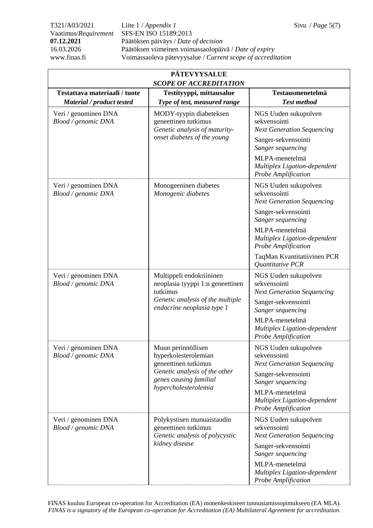T321/A03/2021 Liite 1 / *Appendix 1* Sivu / *Page* 5(7) Vaatimus/*Requirement* SFS-EN ISO 15189:2013 **07.12.2021** Päätöksen päiväys / *Date of decision* 16.03.2026 Päätöksen viimeinen voimassaolopäivä / *Date of expiry* www.finas.fi Voimassaoleva pätevyysalue / *Current scope of accreditation*

| <b>PÄTEVYYSALUE</b><br><b>SCOPE OF ACCREDITATION</b>       |                                                                                                                                                       |                                                                                                                                                                                                                    |  |
|------------------------------------------------------------|-------------------------------------------------------------------------------------------------------------------------------------------------------|--------------------------------------------------------------------------------------------------------------------------------------------------------------------------------------------------------------------|--|
| Testattava materiaali / tuote<br>Material / product tested | Testityyppi, mittausalue<br>Type of test, measured range                                                                                              | Testausmenetelmä<br><b>Test method</b>                                                                                                                                                                             |  |
| Veri / genominen DNA<br>Blood / genomic DNA                | MODY-tyypin diabeteksen<br>geneettinen tutkimus<br>Genetic analysis of maturity-<br>onset diabetes of the young                                       | NGS Uuden sukupolven<br>sekvensointi<br><b>Next Generation Sequencing</b><br>Sanger-sekvensointi<br>Sanger sequencing<br>MLPA-menetelmä<br>Multiplex Ligation-dependent                                            |  |
| Veri / genominen DNA<br>Blood / genomic DNA                | Monogeeninen diabetes<br>Monogenic diabetes                                                                                                           | Probe Amplification<br>NGS Uuden sukupolven<br>sekvensointi<br><b>Next Generation Sequencing</b><br>Sanger-sekvensointi<br>Sanger sequencing                                                                       |  |
|                                                            |                                                                                                                                                       | MLPA-menetelmä<br>Multiplex Ligation-dependent<br>Probe Amplification<br>TaqMan Kvantitatiivinen PCR                                                                                                               |  |
| Veri / genominen DNA<br>Blood / genomic DNA                | Multippeli endokriininen<br>neoplasia tyyppi 1:n geneettinen<br>tutkimus<br>Genetic analysis of the multiple<br>endocrine neoplasia type 1            | Quantitative PCR<br>NGS Uuden sukupolven<br>sekvensointi<br><b>Next Generation Sequencing</b><br>Sanger-sekvensointi<br>Sanger sequencing<br>MLPA-menetelmä<br>Multiplex Ligation-dependent<br>Probe Amplification |  |
| Veri / genominen DNA<br>Blood / genomic DNA                | Muun perinnöllisen<br>hyperkolesterolemian<br>geneettinen tutkimus<br>Genetic analysis of the other<br>genes causing familial<br>hypercholesterolemia | NGS Uuden sukupolven<br>sekvensointi<br><b>Next Generation Sequencing</b><br>Sanger-sekvensointi<br>Sanger sequencing<br>MLPA-menetelmä<br>Multiplex Ligation-dependent<br>Probe Amplification                     |  |
| Veri / genominen DNA<br>Blood / genomic DNA                | Polykystisen munuaistaudin<br>geneettinen tutkimus<br>Genetic analysis of polycystic<br>kidney disease                                                | NGS Uuden sukupolven<br>sekvensointi<br><b>Next Generation Sequencing</b><br>Sanger-sekvensointi<br>Sanger sequencing<br>MLPA-menetelmä<br>Multiplex Ligation-dependent<br>Probe Amplification                     |  |

FINAS kuuluu European co-operation for Accreditation (EA) monenkeskiseen tunnustamissopimukseen (EA MLA). *FINAS is a signatory of the European co-operation for Accreditation (EA) Multilateral Agreement for accreditation.*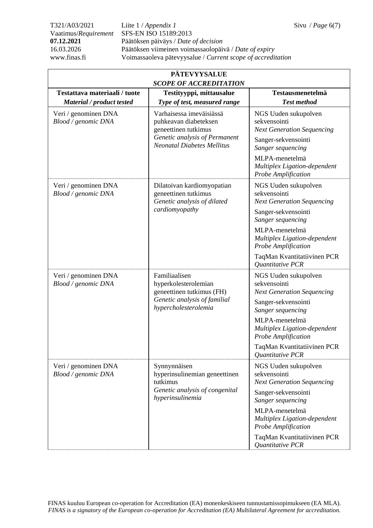T321/A03/2021 Liite 1 / *Appendix 1* Sivu / *Page* 6(7) Vaatimus/*Requirement* SFS-EN ISO 15189:2013 **07.12.2021** Päätöksen päiväys / *Date of decision* 16.03.2026 Päätöksen viimeinen voimassaolopäivä / *Date of expiry* www.finas.fi Voimassaoleva pätevyysalue / *Current scope of accreditation*

| <b>PÄTEVYYSALUE</b><br><b>SCOPE OF ACCREDITATION</b>       |                                                                                                                                                 |                                                                                                                                                                                                                                                   |  |
|------------------------------------------------------------|-------------------------------------------------------------------------------------------------------------------------------------------------|---------------------------------------------------------------------------------------------------------------------------------------------------------------------------------------------------------------------------------------------------|--|
| Testattava materiaali / tuote<br>Material / product tested | Testityyppi, mittausalue<br>Type of test, measured range                                                                                        | Testausmenetelmä<br><b>Test method</b>                                                                                                                                                                                                            |  |
| Veri / genominen DNA<br>Blood / genomic DNA                | Varhaisessa imeväisiässä<br>puhkeavan diabeteksen<br>geneettinen tutkimus<br>Genetic analysis of Permanent<br><b>Neonatal Diabetes Mellitus</b> | NGS Uuden sukupolven<br>sekvensointi<br><b>Next Generation Sequencing</b><br>Sanger-sekvensointi<br>Sanger sequencing<br>MLPA-menetelmä<br>Multiplex Ligation-dependent<br>Probe Amplification                                                    |  |
| Veri / genominen DNA<br>Blood / genomic DNA                | Dilatoivan kardiomyopatian<br>geneettinen tutkimus<br>Genetic analysis of dilated<br>cardiomyopathy                                             | NGS Uuden sukupolven<br>sekvensointi<br><b>Next Generation Sequencing</b><br>Sanger-sekvensointi<br>Sanger sequencing<br>MLPA-menetelmä<br>Multiplex Ligation-dependent<br>Probe Amplification<br>TaqMan Kvantitatiivinen PCR<br>Quantitative PCR |  |
| Veri / genominen DNA<br>Blood / genomic DNA                | Familiaalisen<br>hyperkolesterolemian<br>geneettinen tutkimus (FH)<br>Genetic analysis of familial<br>hypercholesterolemia                      | NGS Uuden sukupolven<br>sekvensointi<br><b>Next Generation Sequencing</b><br>Sanger-sekvensointi<br>Sanger sequencing<br>MLPA-menetelmä<br>Multiplex Ligation-dependent<br>Probe Amplification<br>TaqMan Kvantitatiivinen PCR<br>Quantitative PCR |  |
| Veri / genominen DNA<br>Blood / genomic DNA                | Synnynnäisen<br>hyperinsulinemian geneettinen<br>tutkimus<br>Genetic analysis of congenital<br>hyperinsulinemia                                 | NGS Uuden sukupolven<br>sekvensointi<br><b>Next Generation Sequencing</b><br>Sanger-sekvensointi<br>Sanger sequencing<br>MLPA-menetelmä<br>Multiplex Ligation-dependent<br>Probe Amplification<br>TaqMan Kvantitatiivinen PCR<br>Quantitative PCR |  |